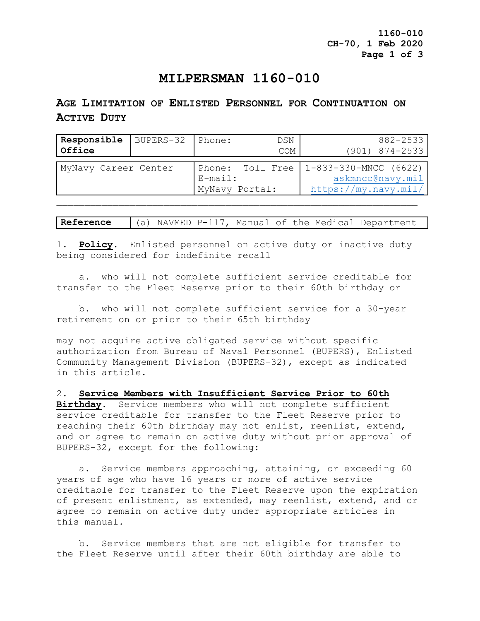**1160-010 CH-70, 1 Feb 2020 Page 1 of 3**

## **MILPERSMAN 1160-010**

## **AGE LIMITATION OF ENLISTED PERSONNEL FOR CONTINUATION ON ACTIVE DUTY**

| Responsible<br>Office | BUPERS-32 | Phone:                       | DSN<br>COM       | 882-2533<br>$(901)$ 874-2533                                        |
|-----------------------|-----------|------------------------------|------------------|---------------------------------------------------------------------|
| MyNavy Career Center  |           | $E$ -mail:<br>MyNavy Portal: | Phone: Toll Free | $1-833-330-MNCC$ (6622)<br>askmncc@navy.mil<br>https://my.navy.mil/ |

| (a) NAVMED P-117, Manual of the Medical Department<br>Reference |
|-----------------------------------------------------------------|
|-----------------------------------------------------------------|

1. **Policy**. Enlisted personnel on active duty or inactive duty being considered for indefinite recall

 a. who will not complete sufficient service creditable for transfer to the Fleet Reserve prior to their 60th birthday or

 b. who will not complete sufficient service for a 30-year retirement on or prior to their 65th birthday

may not acquire active obligated service without specific authorization from Bureau of Naval Personnel (BUPERS), Enlisted Community Management Division (BUPERS-32), except as indicated in this article.

2. **Service Members with Insufficient Service Prior to 60th Birthday**. Service members who will not complete sufficient service creditable for transfer to the Fleet Reserve prior to reaching their 60th birthday may not enlist, reenlist, extend, and or agree to remain on active duty without prior approval of BUPERS-32, except for the following:

 a. Service members approaching, attaining, or exceeding 60 years of age who have 16 years or more of active service creditable for transfer to the Fleet Reserve upon the expiration of present enlistment, as extended, may reenlist, extend, and or agree to remain on active duty under appropriate articles in this manual.

 b. Service members that are not eligible for transfer to the Fleet Reserve until after their 60th birthday are able to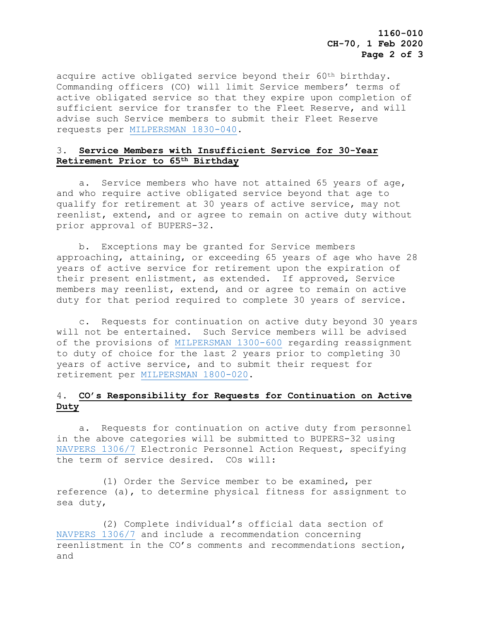acquire active obligated service beyond their 60<sup>th</sup> birthday. Commanding officers (CO) will limit Service members' terms of active obligated service so that they expire upon completion of sufficient service for transfer to the Fleet Reserve, and will advise such Service members to submit their Fleet Reserve requests per [MILPERSMAN 1830-040.](https://www.mynavyhr.navy.mil/Portals/55/Reference/MILPERSMAN/1000/1800Retirement/1830-040.pdf?ver=SIJ38a5AelrMJ1y61YD96w%3d%3d)

## 3. **Service Members with Insufficient Service for 30-Year Retirement Prior to 65th Birthday**

 a. Service members who have not attained 65 years of age, and who require active obligated service beyond that age to qualify for retirement at 30 years of active service, may not reenlist, extend, and or agree to remain on active duty without prior approval of BUPERS-32.

 b. Exceptions may be granted for Service members approaching, attaining, or exceeding 65 years of age who have 28 years of active service for retirement upon the expiration of their present enlistment, as extended. If approved, Service members may reenlist, extend, and or agree to remain on active duty for that period required to complete 30 years of service.

 c. Requests for continuation on active duty beyond 30 years will not be entertained. Such Service members will be advised of the provisions of [MILPERSMAN 1300-600](https://www.mynavyhr.navy.mil/Portals/55/Reference/MILPERSMAN/1000/1300Assignment/1300-600.pdf?ver=tZodoFgV6vWVRND23CmVMg%3d%3d) regarding reassignment to duty of choice for the last 2 years prior to completing 30 years of active service, and to submit their request for retirement per [MILPERSMAN 1800-020.](https://www.mynavyhr.navy.mil/Portals/55/Reference/MILPERSMAN/1000/1800Retirement/1800-020.pdf?ver=jIJnu6PJ3F7Rj-dzs4rBLw%3d%3d)

## 4. **CO's Responsibility for Requests for Continuation on Active Duty**

 a. Requests for continuation on active duty from personnel in the above categories will be submitted to BUPERS-32 using [NAVPERS 1306/7](https://www.mynavyhr.navy.mil/Portals/55/Reference/Forms/NAVPERS/NAVPERS_1306-7_Rev08-19.pdf?ver=skmQqt91MwXgQc7vi1Ut6A%3d%3d) Electronic Personnel Action Request, specifying the term of service desired. COs will:

 (1) Order the Service member to be examined, per reference (a), to determine physical fitness for assignment to sea duty,

 (2) Complete individual's official data section of [NAVPERS 1306/7](https://www.mynavyhr.navy.mil/Portals/55/Reference/Forms/NAVPERS/NAVPERS_1306-7_Rev08-19.pdf?ver=skmQqt91MwXgQc7vi1Ut6A%3d%3d) and include a recommendation concerning reenlistment in the CO's comments and recommendations section, and